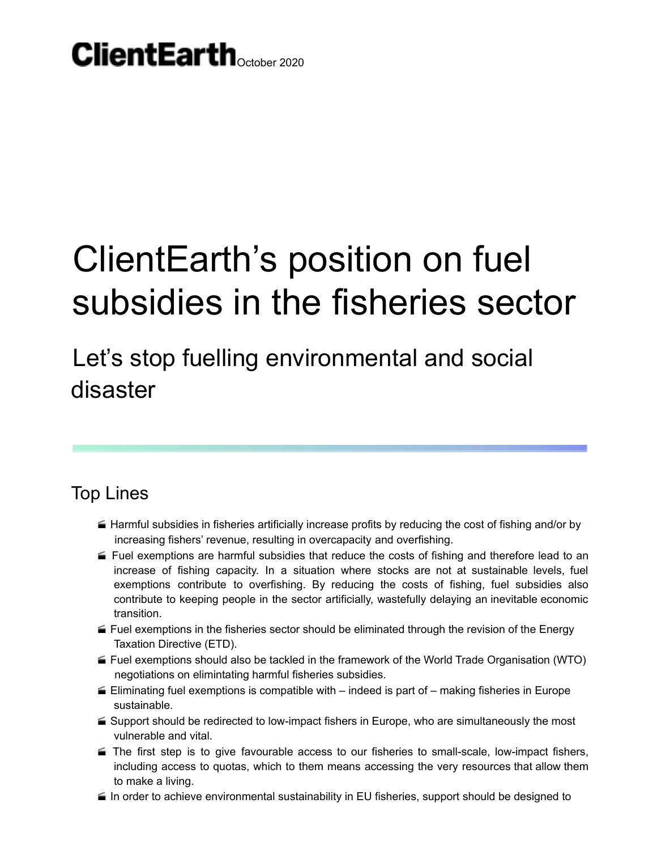### $C$ lientEarth $_{\text{October 2020}}$

# ClientEarth's position on fuel subsidies in the fisheries sector

Let's stop fuelling environmental and social disaster

#### Top Lines

- Harmful subsidies in fisheries artificially increase profits by reducing the cost of fishing and/or by increasing fishers' revenue, resulting in overcapacity and overfishing.
- $\blacktriangle$  Fuel exemptions are harmful subsidies that reduce the costs of fishing and therefore lead to an increase of fishing capacity. In a situation where stocks are not at sustainable levels, fuel exemptions contribute to overfishing. By reducing the costs of fishing, fuel subsidies also contribute to keeping people in the sector artificially, wastefully delaying an inevitable economic transition.
- Fuel exemptions in the fisheries sector should be eliminated through the revision of the Energy Taxation Directive (ETD).
- Fuel exemptions should also be tackled in the framework of the World Trade Organisation (WTO) negotiations on elimintating harmful fisheries subsidies.
- $\blacktriangle$  Eliminating fuel exemptions is compatible with indeed is part of making fisheries in Europe sustainable.
- Support should be redirected to low-impact fishers in Europe, who are simultaneously the most vulnerable and vital.
- $\blacktriangleright$  The first step is to give favourable access to our fisheries to small-scale, low-impact fishers, including access to quotas, which to them means accessing the very resources that allow them to make a living.
- $\blacktriangleq$  In order to achieve environmental sustainability in EU fisheries, support should be designed to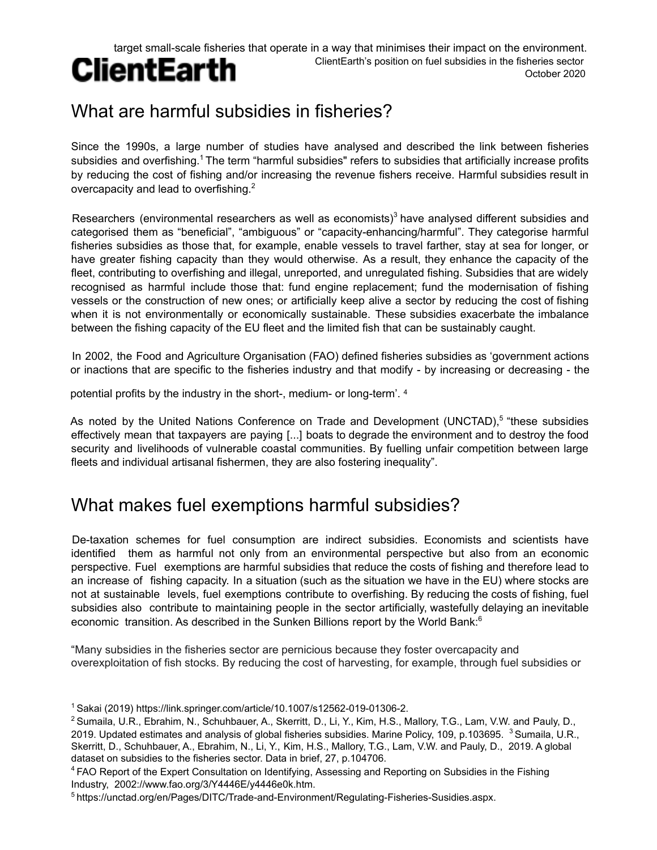#### target small-scale fisheries that operate in a way that minimises their impact on the environment. ClientEarth's position on fuel subsidies in the fisheries sector

### **ClientEarth**

October 2020

### What are harmful subsidies in fisheries?

Since the 1990s, a large number of studies have analysed and described the link between fisheries subsidies and overfishing.<sup>1</sup> The term "harmful subsidies" refers to subsidies that artificially increase profits by reducing the cost of fishing and/or increasing the revenue fishers receive. Harmful subsidies result in overcapacity and lead to overfishing. $2$ 

Researchers (environmental researchers as well as economists) $3$  have analysed different subsidies and categorised them as "beneficial", "ambiguous" or "capacity-enhancing/harmful". They categorise harmful fisheries subsidies as those that, for example, enable vessels to travel farther, stay at sea for longer, or have greater fishing capacity than they would otherwise. As a result, they enhance the capacity of the fleet, contributing to overfishing and illegal, unreported, and unregulated fishing. Subsidies that are widely recognised as harmful include those that: fund engine replacement; fund the modernisation of fishing vessels or the construction of new ones; or artificially keep alive a sector by reducing the cost of fishing when it is not environmentally or economically sustainable. These subsidies exacerbate the imbalance between the fishing capacity of the EU fleet and the limited fish that can be sustainably caught.

In 2002, the Food and Agriculture Organisation (FAO) defined fisheries subsidies as 'government actions or inactions that are specific to the fisheries industry and that modify - by increasing or decreasing - the

potential profits by the industry in the short-, medium- or long-term'. 4

As noted by the United Nations Conference on Trade and Development (UNCTAD),<sup>5</sup> "these subsidies effectively mean that taxpayers are paying [...] boats to degrade the environment and to destroy the food security and livelihoods of vulnerable coastal communities. By fuelling unfair competition between large fleets and individual artisanal fishermen, they are also fostering inequality".

#### What makes fuel exemptions harmful subsidies?

De-taxation schemes for fuel consumption are indirect subsidies. Economists and scientists have identified them as harmful not only from an environmental perspective but also from an economic perspective. Fuel exemptions are harmful subsidies that reduce the costs of fishing and therefore lead to an increase of fishing capacity. In a situation (such as the situation we have in the EU) where stocks are not at sustainable levels, fuel exemptions contribute to overfishing. By reducing the costs of fishing, fuel subsidies also contribute to maintaining people in the sector artificially, wastefully delaying an inevitable economic transition. As described in the Sunken Billions report by the World Bank:<sup>6</sup>

"Many subsidies in the fisheries sector are pernicious because they foster overcapacity and overexploitation of fish stocks. By reducing the cost of harvesting, for example, through fuel subsidies or

<sup>&</sup>lt;sup>1</sup> Sakai (2019) https://link.springer.com/article/10.1007/s12562-019-01306-2.

<sup>2</sup> Sumaila, U.R., Ebrahim, N., Schuhbauer, A., Skerritt, D., Li, Y., Kim, H.S., Mallory, T.G., Lam, V.W. and Pauly, D., 2019. Updated estimates and analysis of global fisheries subsidies. Marine Policy, 109, p.103695.  $^3$  Sumaila, U.R., Skerritt, D., Schuhbauer, A., Ebrahim, N., Li, Y., Kim, H.S., Mallory, T.G., Lam, V.W. and Pauly, D., 2019. A global dataset on subsidies to the fisheries sector. Data in brief, 27, p.104706.

<sup>4</sup> FAO Report of the Expert Consultation on Identifying, Assessing and Reporting on Subsidies in the Fishing Industry, 2002://www.fao.org/3/Y4446E/y4446e0k.htm.

<sup>5</sup> https://unctad.org/en/Pages/DITC/Trade-and-Environment/Regulating-Fisheries-Susidies.aspx.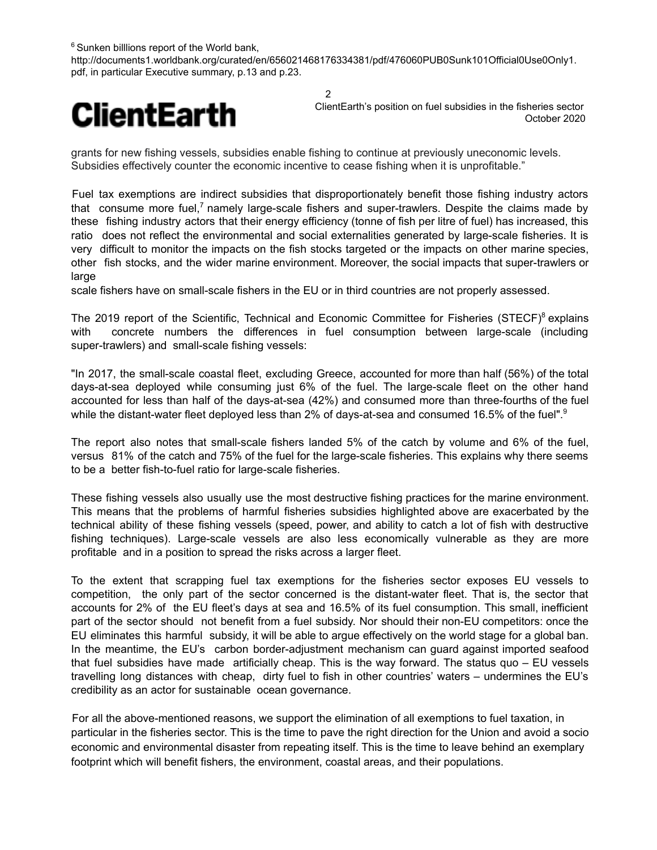$6$  Sunken billlions report of the World bank,

http://documents1.worldbank.org/curated/en/656021468176334381/pdf/476060PUB0Sunk101Official0Use0Only1. pdf, in particular Executive summary, p.13 and p.23.

2



ClientEarth's position on fuel subsidies in the fisheries sector October 2020

grants for new fishing vessels, subsidies enable fishing to continue at previously uneconomic levels. Subsidies effectively counter the economic incentive to cease fishing when it is unprofitable."

Fuel tax exemptions are indirect subsidies that disproportionately benefit those fishing industry actors that consume more fuel,<sup>7</sup> namely large-scale fishers and super-trawlers. Despite the claims made by these fishing industry actors that their energy efficiency (tonne of fish per litre of fuel) has increased, this ratio does not reflect the environmental and social externalities generated by large-scale fisheries. It is very difficult to monitor the impacts on the fish stocks targeted or the impacts on other marine species, other fish stocks, and the wider marine environment. Moreover, the social impacts that super-trawlers or large

scale fishers have on small-scale fishers in the EU or in third countries are not properly assessed.

The 2019 report of the Scientific, Technical and Economic Committee for Fisheries (STECF)<sup>8</sup> explains with concrete numbers the differences in fuel consumption between large-scale (including super-trawlers) and small-scale fishing vessels:

"In 2017, the small-scale coastal fleet, excluding Greece, accounted for more than half (56%) of the total days-at-sea deployed while consuming just 6% of the fuel. The large-scale fleet on the other hand accounted for less than half of the days-at-sea (42%) and consumed more than three-fourths of the fuel while the distant-water fleet deployed less than 2% of days-at-sea and consumed 16.5% of the fuel".<sup>9</sup>

The report also notes that small-scale fishers landed 5% of the catch by volume and 6% of the fuel, versus 81% of the catch and 75% of the fuel for the large-scale fisheries. This explains why there seems to be a better fish-to-fuel ratio for large-scale fisheries.

These fishing vessels also usually use the most destructive fishing practices for the marine environment. This means that the problems of harmful fisheries subsidies highlighted above are exacerbated by the technical ability of these fishing vessels (speed, power, and ability to catch a lot of fish with destructive fishing techniques). Large-scale vessels are also less economically vulnerable as they are more profitable and in a position to spread the risks across a larger fleet.

To the extent that scrapping fuel tax exemptions for the fisheries sector exposes EU vessels to competition, the only part of the sector concerned is the distant-water fleet. That is, the sector that accounts for 2% of the EU fleet's days at sea and 16.5% of its fuel consumption. This small, inefficient part of the sector should not benefit from a fuel subsidy. Nor should their non-EU competitors: once the EU eliminates this harmful subsidy, it will be able to argue effectively on the world stage for a global ban. In the meantime, the EU's carbon border-adjustment mechanism can guard against imported seafood that fuel subsidies have made artificially cheap. This is the way forward. The status quo – EU vessels travelling long distances with cheap, dirty fuel to fish in other countries' waters – undermines the EU's credibility as an actor for sustainable ocean governance.

For all the above-mentioned reasons, we support the elimination of all exemptions to fuel taxation, in particular in the fisheries sector. This is the time to pave the right direction for the Union and avoid a socio economic and environmental disaster from repeating itself. This is the time to leave behind an exemplary footprint which will benefit fishers, the environment, coastal areas, and their populations.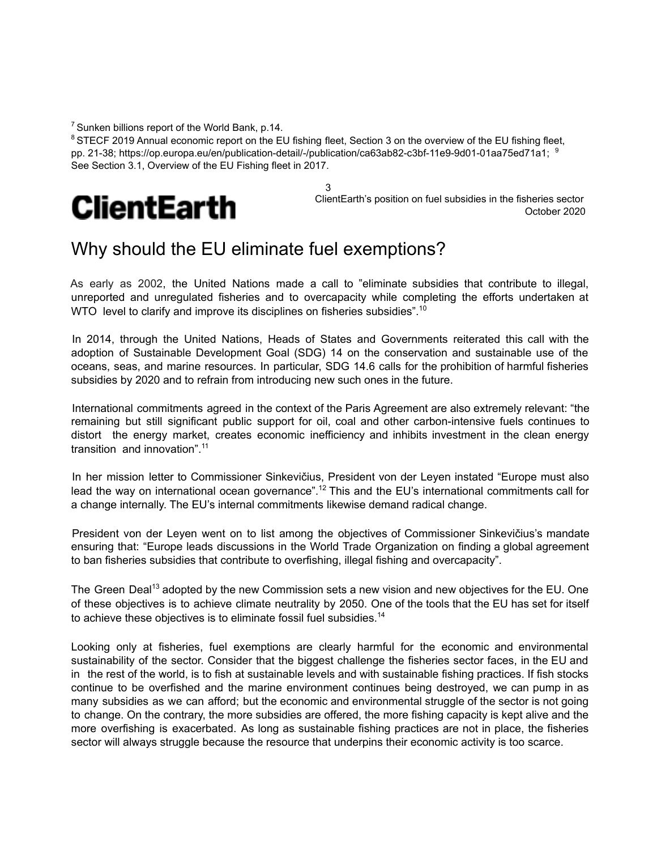$<sup>7</sup>$  Sunken billions report of the World Bank, p.14.</sup>

<sup>8</sup> STECF 2019 Annual economic report on the EU fishing fleet, Section 3 on the overview of the EU fishing fleet, pp. 21-38; https://op.europa.eu/en/publication-detail/-/publication/ca63ab82-c3bf-11e9-9d01-01aa75ed71a1; <sup>9</sup> See Section 3.1, Overview of the EU Fishing fleet in 2017.

3



ClientEarth's position on fuel subsidies in the fisheries sector October 2020

#### Why should the EU eliminate fuel exemptions?

As early as 2002, the United Nations made a call to "eliminate subsidies that contribute to illegal, unreported and unregulated fisheries and to overcapacity while completing the efforts undertaken at WTO level to clarify and improve its disciplines on fisheries subsidies".<sup>10</sup>

In 2014, through the United Nations, Heads of States and Governments reiterated this call with the adoption of Sustainable Development Goal (SDG) 14 on the conservation and sustainable use of the oceans, seas, and marine resources. In particular, SDG 14.6 calls for the prohibition of harmful fisheries subsidies by 2020 and to refrain from introducing new such ones in the future.

International commitments agreed in the context of the Paris Agreement are also extremely relevant: "the remaining but still significant public support for oil, coal and other carbon-intensive fuels continues to distort the energy market, creates economic inefficiency and inhibits investment in the clean energy transition and innovation".<sup>11</sup>

In her mission letter to Commissioner Sinkevičius, President von der Leyen instated "Europe must also lead the way on international ocean governance".<sup>12</sup> This and the EU's international commitments call for a change internally. The EU's internal commitments likewise demand radical change.

President von der Leyen went on to list among the objectives of Commissioner Sinkevičius's mandate ensuring that: "Europe leads discussions in the World Trade Organization on finding a global agreement to ban fisheries subsidies that contribute to overfishing, illegal fishing and overcapacity".

The Green Deal<sup>13</sup> adopted by the new Commission sets a new vision and new objectives for the EU. One of these objectives is to achieve climate neutrality by 2050. One of the tools that the EU has set for itself to achieve these objectives is to eliminate fossil fuel subsidies.<sup>14</sup>

Looking only at fisheries, fuel exemptions are clearly harmful for the economic and environmental sustainability of the sector. Consider that the biggest challenge the fisheries sector faces, in the EU and in the rest of the world, is to fish at sustainable levels and with sustainable fishing practices. If fish stocks continue to be overfished and the marine environment continues being destroyed, we can pump in as many subsidies as we can afford; but the economic and environmental struggle of the sector is not going to change. On the contrary, the more subsidies are offered, the more fishing capacity is kept alive and the more overfishing is exacerbated. As long as sustainable fishing practices are not in place, the fisheries sector will always struggle because the resource that underpins their economic activity is too scarce.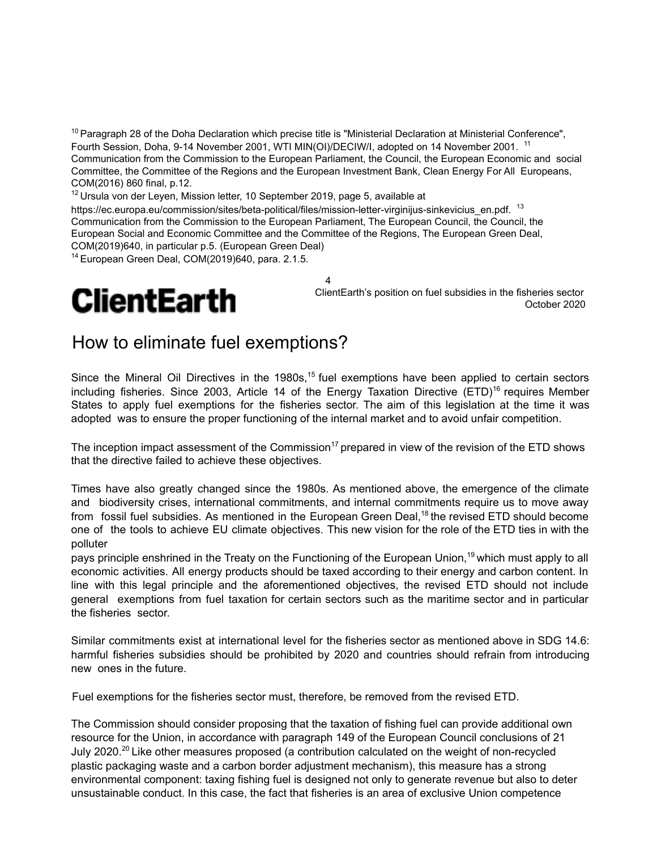$10$  Paragraph 28 of the Doha Declaration which precise title is "Ministerial Declaration at Ministerial Conference", Fourth Session, Doha, 9-14 November 2001, WTI MIN(OI)/DECIW/I, adopted on 14 November 2001. <sup>11</sup> Communication from the Commission to the European Parliament, the Council, the European Economic and social Committee, the Committee of the Regions and the European Investment Bank, Clean Energy For All Europeans, COM(2016) 860 final, p.12.

4

 $12$  Ursula von der Leyen, Mission letter, 10 September 2019, page 5, available at

https://ec.europa.eu/commission/sites/beta-political/files/mission-letter-virginijus-sinkevicius\_en.pdf.<sup>13</sup> Communication from the Commission to the European Parliament, The European Council, the Council, the European Social and Economic Committee and the Committee of the Regions, The European Green Deal, COM(2019)640, in particular p.5. (European Green Deal)

<sup>14</sup> European Green Deal, COM(2019)640, para. 2.1.5.

### **ClientEarth**

ClientEarth's position on fuel subsidies in the fisheries sector October 2020

#### How to eliminate fuel exemptions?

Since the Mineral Oil Directives in the 1980s,<sup>15</sup> fuel exemptions have been applied to certain sectors including fisheries. Since 2003, Article 14 of the Energy Taxation Directive (ETD)<sup>16</sup> requires Member States to apply fuel exemptions for the fisheries sector. The aim of this legislation at the time it was adopted was to ensure the proper functioning of the internal market and to avoid unfair competition.

The inception impact assessment of the Commission<sup>17</sup> prepared in view of the revision of the ETD shows that the directive failed to achieve these objectives.

Times have also greatly changed since the 1980s. As mentioned above, the emergence of the climate and biodiversity crises, international commitments, and internal commitments require us to move away from fossil fuel subsidies. As mentioned in the European Green Deal,<sup>18</sup> the revised ETD should become one of the tools to achieve EU climate objectives. This new vision for the role of the ETD ties in with the polluter

pays principle enshrined in the Treaty on the Functioning of the European Union,<sup>19</sup> which must apply to all economic activities. All energy products should be taxed according to their energy and carbon content. In line with this legal principle and the aforementioned objectives, the revised ETD should not include general exemptions from fuel taxation for certain sectors such as the maritime sector and in particular the fisheries sector.

Similar commitments exist at international level for the fisheries sector as mentioned above in SDG 14.6: harmful fisheries subsidies should be prohibited by 2020 and countries should refrain from introducing new ones in the future.

Fuel exemptions for the fisheries sector must, therefore, be removed from the revised ETD.

The Commission should consider proposing that the taxation of fishing fuel can provide additional own resource for the Union, in accordance with paragraph 149 of the European Council conclusions of 21 July 2020.<sup>20</sup> Like other measures proposed (a contribution calculated on the weight of non-recycled plastic packaging waste and a carbon border adjustment mechanism), this measure has a strong environmental component: taxing fishing fuel is designed not only to generate revenue but also to deter unsustainable conduct. In this case, the fact that fisheries is an area of exclusive Union competence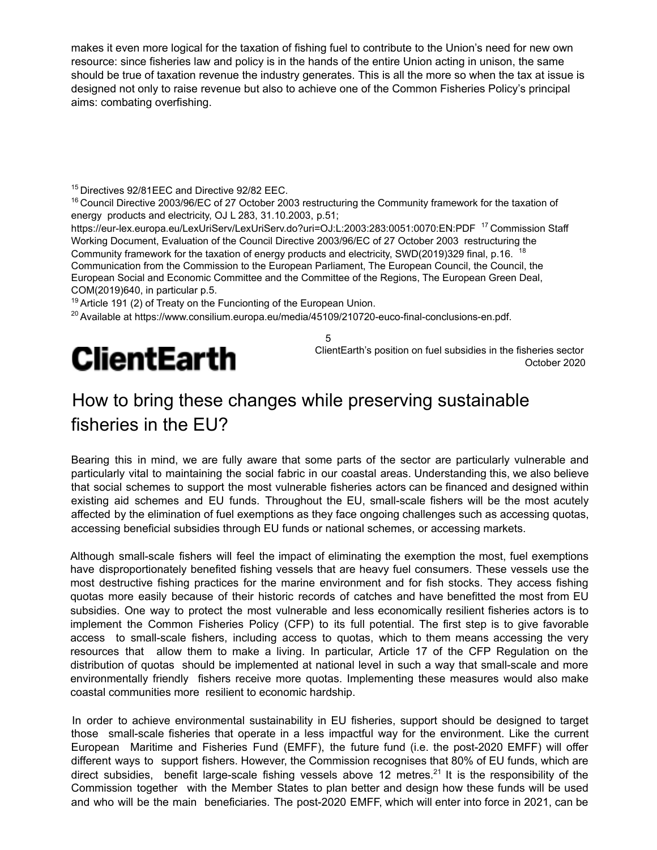makes it even more logical for the taxation of fishing fuel to contribute to the Union's need for new own resource: since fisheries law and policy is in the hands of the entire Union acting in unison, the same should be true of taxation revenue the industry generates. This is all the more so when the tax at issue is designed not only to raise revenue but also to achieve one of the Common Fisheries Policy's principal aims: combating overfishing.

<sup>15</sup> Directives 92/81EEC and Directive 92/82 EEC.

<sup>16</sup> Council Directive 2003/96/EC of 27 October 2003 restructuring the Community framework for the taxation of energy products and electricity, OJ L 283, 31.10.2003, p.51;

https://eur-lex.europa.eu/LexUriServ/LexUriServ.do?uri=OJ:L:2003:283:0051:0070:EN:PDF<sup>17</sup> Commission Staff Working Document, Evaluation of the Council Directive 2003/96/EC of 27 October 2003 restructuring the Community framework for the taxation of energy products and electricity, SWD(2019)329 final, p.16. <sup>18</sup> Communication from the Commission to the European Parliament, The European Council, the Council, the European Social and Economic Committee and the Committee of the Regions, The European Green Deal, COM(2019)640, in particular p.5.

5

 $19$  Article 191 (2) of Treaty on the Funcionting of the European Union.

<sup>20</sup> Available at https://www.consilium.europa.eu/media/45109/210720-euco-final-conclusions-en.pdf.

## **ClientEarth**

ClientEarth's position on fuel subsidies in the fisheries sector October 2020

#### How to bring these changes while preserving sustainable fisheries in the EU?

Bearing this in mind, we are fully aware that some parts of the sector are particularly vulnerable and particularly vital to maintaining the social fabric in our coastal areas. Understanding this, we also believe that social schemes to support the most vulnerable fisheries actors can be financed and designed within existing aid schemes and EU funds. Throughout the EU, small-scale fishers will be the most acutely affected by the elimination of fuel exemptions as they face ongoing challenges such as accessing quotas, accessing beneficial subsidies through EU funds or national schemes, or accessing markets.

Although small-scale fishers will feel the impact of eliminating the exemption the most, fuel exemptions have disproportionately benefited fishing vessels that are heavy fuel consumers. These vessels use the most destructive fishing practices for the marine environment and for fish stocks. They access fishing quotas more easily because of their historic records of catches and have benefitted the most from EU subsidies. One way to protect the most vulnerable and less economically resilient fisheries actors is to implement the Common Fisheries Policy (CFP) to its full potential. The first step is to give favorable access to small-scale fishers, including access to quotas, which to them means accessing the very resources that allow them to make a living. In particular, Article 17 of the CFP Regulation on the distribution of quotas should be implemented at national level in such a way that small-scale and more environmentally friendly fishers receive more quotas. Implementing these measures would also make coastal communities more resilient to economic hardship.

In order to achieve environmental sustainability in EU fisheries, support should be designed to target those small-scale fisheries that operate in a less impactful way for the environment. Like the current European Maritime and Fisheries Fund (EMFF), the future fund (i.e. the post-2020 EMFF) will offer different ways to support fishers. However, the Commission recognises that 80% of EU funds, which are direct subsidies, benefit large-scale fishing vessels above 12 metres.<sup>21</sup> It is the responsibility of the Commission together with the Member States to plan better and design how these funds will be used and who will be the main beneficiaries. The post-2020 EMFF, which will enter into force in 2021, can be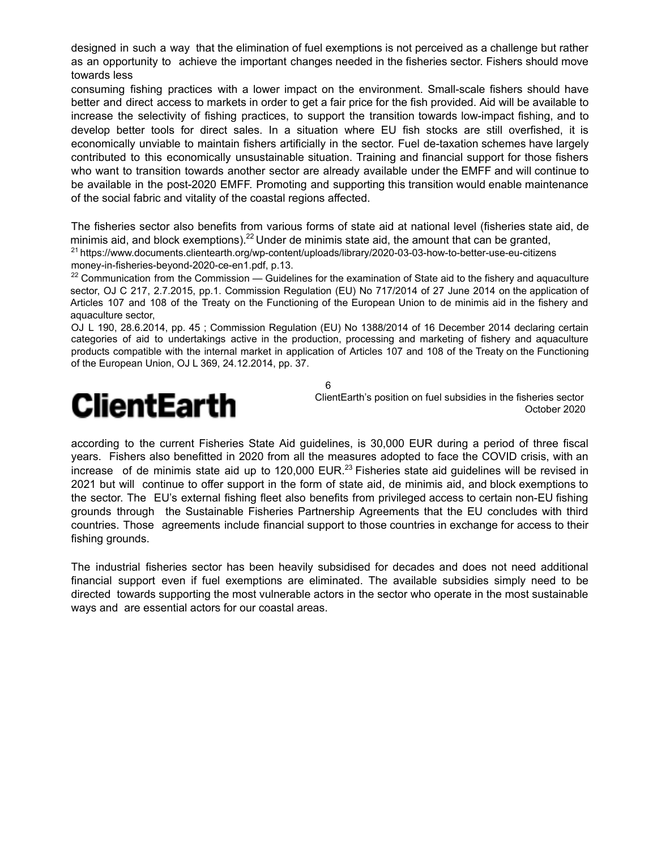designed in such a way that the elimination of fuel exemptions is not perceived as a challenge but rather as an opportunity to achieve the important changes needed in the fisheries sector. Fishers should move towards less

consuming fishing practices with a lower impact on the environment. Small-scale fishers should have better and direct access to markets in order to get a fair price for the fish provided. Aid will be available to increase the selectivity of fishing practices, to support the transition towards low-impact fishing, and to develop better tools for direct sales. In a situation where EU fish stocks are still overfished, it is economically unviable to maintain fishers artificially in the sector. Fuel de-taxation schemes have largely contributed to this economically unsustainable situation. Training and financial support for those fishers who want to transition towards another sector are already available under the EMFF and will continue to be available in the post-2020 EMFF. Promoting and supporting this transition would enable maintenance of the social fabric and vitality of the coastal regions affected.

The fisheries sector also benefits from various forms of state aid at national level (fisheries state aid, de minimis aid, and block exemptions).<sup>22</sup> Under de minimis state aid, the amount that can be granted, <sup>21</sup> https://www.documents.clientearth.org/wp-content/uploads/library/2020-03-03-how-to-better-use-eu-citizens money-in-fisheries-beyond-2020-ce-en1.pdf, p.13.

 $22$  Communication from the Commission — Guidelines for the examination of State aid to the fishery and aquaculture sector, OJ C 217, 2.7.2015, pp.1. Commission Regulation (EU) No 717/2014 of 27 June 2014 on the application of Articles 107 and 108 of the Treaty on the Functioning of the European Union to de minimis aid in the fishery and aquaculture sector,

OJ L 190, 28.6.2014, pp. 45 ; Commission Regulation (EU) No 1388/2014 of 16 December 2014 declaring certain categories of aid to undertakings active in the production, processing and marketing of fishery and aquaculture products compatible with the internal market in application of Articles 107 and 108 of the Treaty on the Functioning of the European Union, OJ L 369, 24.12.2014, pp. 37.

6

### ClientEarth

ClientEarth's position on fuel subsidies in the fisheries sector October 2020

according to the current Fisheries State Aid guidelines, is 30,000 EUR during a period of three fiscal years. Fishers also benefitted in 2020 from all the measures adopted to face the COVID crisis, with an increase of de minimis state aid up to 120,000 EUR.<sup>23</sup> Fisheries state aid guidelines will be revised in 2021 but will continue to offer support in the form of state aid, de minimis aid, and block exemptions to the sector. The EU's external fishing fleet also benefits from privileged access to certain non-EU fishing grounds through the Sustainable Fisheries Partnership Agreements that the EU concludes with third countries. Those agreements include financial support to those countries in exchange for access to their fishing grounds.

The industrial fisheries sector has been heavily subsidised for decades and does not need additional financial support even if fuel exemptions are eliminated. The available subsidies simply need to be directed towards supporting the most vulnerable actors in the sector who operate in the most sustainable ways and are essential actors for our coastal areas.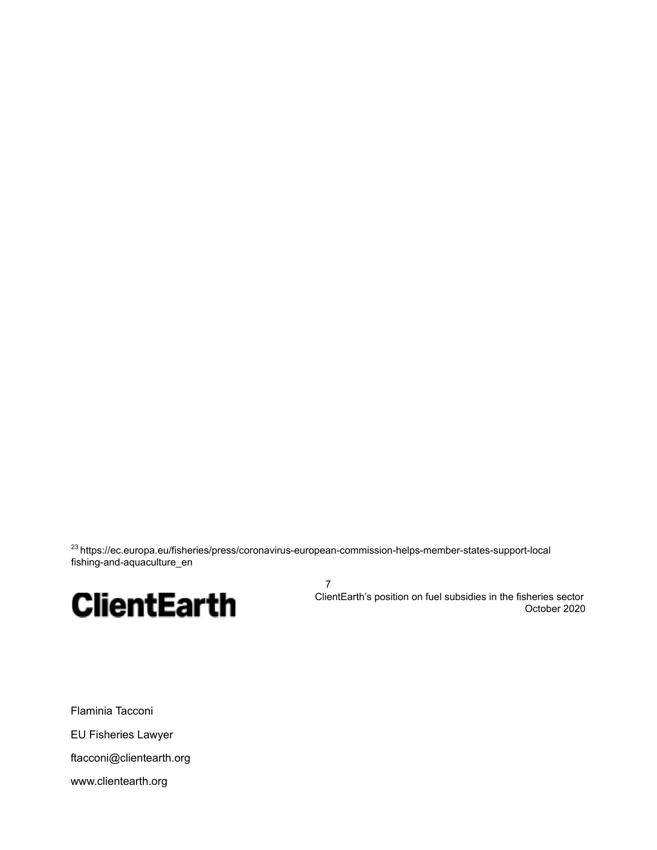<sup>23</sup> https://ec.europa.eu/fisheries/press/coronavirus-european-commission-helps-member-states-support-local fishing-and-aquaculture\_en

7



ClientEarth's position on fuel subsidies in the fisheries sector October 2020

Flaminia Tacconi EU Fisheries Lawyer ftacconi@clientearth.org www.clientearth.org